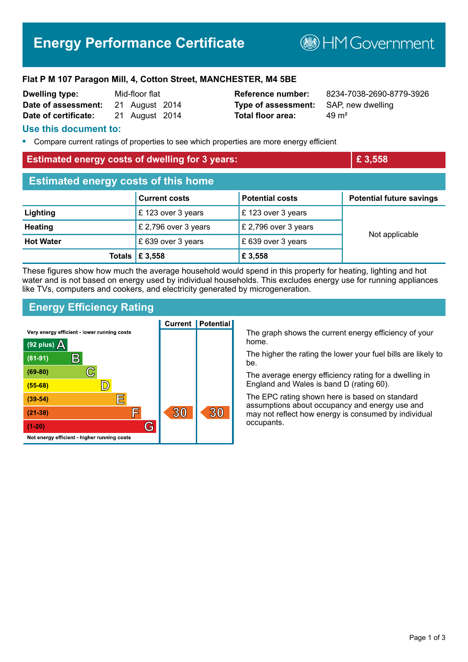# **Energy Performance Certificate**

**BHM Government** 

#### **Flat P M 107 Paragon Mill, 4, Cotton Street, MANCHESTER, M4 5BE**

| <b>Dwelling type:</b> | Mid-floor flat |                |  |
|-----------------------|----------------|----------------|--|
| Date of assessment:   |                | 21 August 2014 |  |
| Date of certificate:  |                | 21 August 2014 |  |

**Type of assessment:** SAP, new dwelling **Total floor area:** 29 m<sup>2</sup>

**Reference number:** 8234-7038-2690-8779-3926

### **Use this document to:**

**•** Compare current ratings of properties to see which properties are more energy efficient

# **Estimated energy costs of dwelling for 3 years: <b>EXECUTE:**  $\mathbf{E}$  3,558

| <b>Estimated energy costs of this home</b> |                      |                        |                                 |  |
|--------------------------------------------|----------------------|------------------------|---------------------------------|--|
|                                            | <b>Current costs</b> | <b>Potential costs</b> | <b>Potential future savings</b> |  |
| Lighting                                   | £ 123 over 3 years   | £123 over 3 years      | Not applicable                  |  |
| <b>Heating</b>                             | £ 2,796 over 3 years | £ 2,796 over 3 years   |                                 |  |
| <b>Hot Water</b>                           | £ 639 over 3 years   | £ 639 over 3 years     |                                 |  |
| <b>Totals</b>                              | £ 3,558              | £ 3,558                |                                 |  |

These figures show how much the average household would spend in this property for heating, lighting and hot water and is not based on energy used by individual households. This excludes energy use for running appliances like TVs, computers and cookers, and electricity generated by microgeneration.

## **Energy Efficiency Rating**



The graph shows the current energy efficiency of your

The higher the rating the lower your fuel bills are likely to

The average energy efficiency rating for a dwelling in England and Wales is band D (rating 60).

The EPC rating shown here is based on standard assumptions about occupancy and energy use and may not reflect how energy is consumed by individual occupants.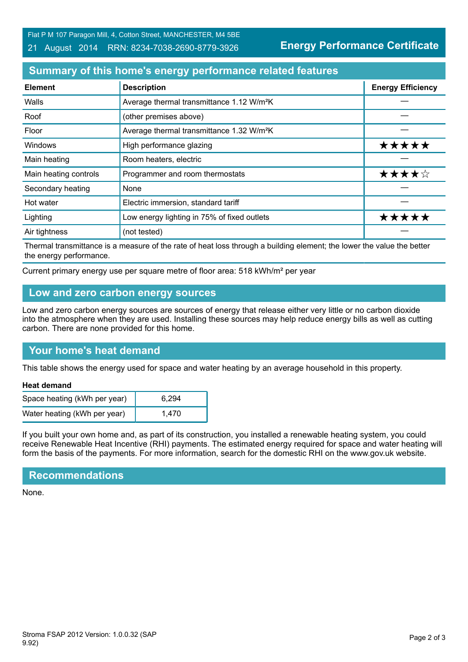Flat P M 107 Paragon Mill, 4, Cotton Street, MANCHESTER, M4 5BE

#### 21 August 2014 RRN: 8234-7038-2690-8779-3926

**Energy Performance Certificate**

# **Summary of this home's energy performance related features**

| <b>Element</b>        | <b>Description</b>                                    | <b>Energy Efficiency</b> |
|-----------------------|-------------------------------------------------------|--------------------------|
| Walls                 | Average thermal transmittance 1.12 W/m <sup>2</sup> K |                          |
| Roof                  | (other premises above)                                |                          |
| Floor                 | Average thermal transmittance 1.32 W/m <sup>2</sup> K |                          |
| Windows               | High performance glazing                              | *****                    |
| Main heating          | Room heaters, electric                                |                          |
| Main heating controls | Programmer and room thermostats                       | ★★★★☆                    |
| Secondary heating     | None                                                  |                          |
| Hot water             | Electric immersion, standard tariff                   |                          |
| Lighting              | Low energy lighting in 75% of fixed outlets           | ***                      |
| Air tightness         | (not tested)                                          |                          |

Thermal transmittance is a measure of the rate of heat loss through a building element; the lower the value the better the energy performance.

Current primary energy use per square metre of floor area: 518 kWh/m² per year

## **Low and zero carbon energy sources**

Low and zero carbon energy sources are sources of energy that release either very little or no carbon dioxide into the atmosphere when they are used. Installing these sources may help reduce energy bills as well as cutting carbon. There are none provided for this home.

# **Your home's heat demand**

This table shows the energy used for space and water heating by an average household in this property.

#### **Heat demand**

| Space heating (kWh per year) | 6.294 |
|------------------------------|-------|
| Water heating (kWh per year) | 1.470 |

If you built your own home and, as part of its construction, you installed a renewable heating system, you could receive Renewable Heat Incentive (RHI) payments. The estimated energy required for space and water heating will form the basis of the payments. For more information, search for the domestic RHI on the www.gov.uk website.

# **Recommendations**

None.